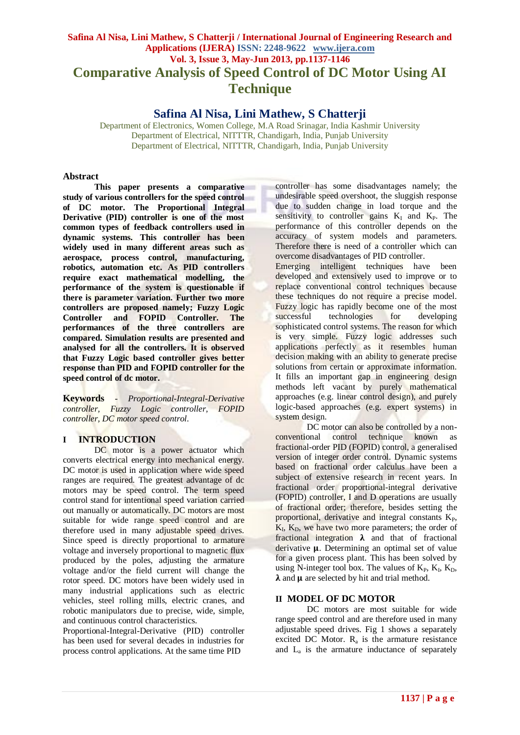# **Safina Al Nisa, Lini Mathew, S Chatterji / International Journal of Engineering Research and Applications (IJERA) ISSN: 2248-9622 www.ijera.com Vol. 3, Issue 3, May-Jun 2013, pp.1137-1146 Comparative Analysis of Speed Control of DC Motor Using AI Technique**

## **Safina Al Nisa, Lini Mathew, S Chatterji**

Department of Electronics, Women College, M.A Road Srinagar, India Kashmir University Department of Electrical, NITTTR, Chandigarh, India, Punjab University Department of Electrical, NITTTR, Chandigarh, India, Punjab University

#### **Abstract**

**This paper presents a comparative study of various controllers for the speed control of DC motor. The Proportional Integral Derivative (PID) controller is one of the most common types of feedback controllers used in dynamic systems. This controller has been widely used in many different areas such as aerospace, process control, manufacturing, robotics, automation etc. As PID controllers require exact mathematical modelling, the performance of the system is questionable if there is parameter variation. Further two more controllers are proposed namely; Fuzzy Logic Controller and FOPID Controller. The performances of the three controllers are compared. Simulation results are presented and analysed for all the controllers. It is observed that Fuzzy Logic based controller gives better response than PID and FOPID controller for the speed control of dc motor.** 

**Keywords** *- Proportional-Integral-Derivative controller, Fuzzy Logic controller, FOPID controller, DC motor speed control.*

### **I INTRODUCTION**

DC motor is a power actuator which converts electrical energy into mechanical energy. DC motor is used in application where wide speed ranges are required. The greatest advantage of dc motors may be speed control. The term speed control stand for intentional speed variation carried out manually or automatically. DC motors are most suitable for wide range speed control and are therefore used in many adjustable speed drives. Since speed is directly proportional to armature voltage and inversely proportional to magnetic flux produced by the poles, adjusting the armature voltage and/or the field current will change the rotor speed. DC motors have been widely used in many industrial applications such as electric vehicles, steel rolling mills, electric cranes, and robotic manipulators due to precise, wide, simple, and continuous control characteristics.

Proportional-Integral-Derivative (PID) controller has been used for several decades in industries for process control applications. At the same time PID

controller has some disadvantages namely; the undesirable speed overshoot, the sluggish response due to sudden change in load torque and the sensitivity to controller gains  $K_I$  and  $K_P$ . The performance of this controller depends on the accuracy of system models and parameters. Therefore there is need of a controller which can overcome disadvantages of PID controller.

Emerging intelligent techniques have been developed and extensively used to improve or to replace conventional control techniques because these techniques do not require a precise model. Fuzzy logic has rapidly become one of the most successful technologies for developing sophisticated control systems. The reason for which is very simple. Fuzzy logic addresses such applications perfectly as it resembles human decision making with an ability to generate precise solutions from certain or approximate information. It fills an important gap in engineering design methods left vacant by purely mathematical approaches (e.g. linear control design), and purely logic-based approaches (e.g. expert systems) in system design.

DC motor can also be controlled by a nonconventional control technique known as fractional-order PID (FOPID) control, a generalised version of integer order control. Dynamic systems based on fractional order calculus have been a subject of extensive research in recent years. In fractional order proportional-integral derivative (FOPID) controller, I and D operations are usually of fractional order; therefore, besides setting the proportional, derivative and integral constants  $K_{P}$ ,  $K_I$ ,  $K_D$ , we have two more parameters; the order of fractional integration  $\lambda$  and that of fractional derivative  $\mu$ . Determining an optimal set of value for a given process plant. This has been solved by using N-integer tool box. The values of  $K_P$ ,  $K_I$ ,  $K_D$ ,  $\lambda$  and  $\mu$  are selected by hit and trial method.

### **II MODEL OF DC MOTOR**

DC motors are most suitable for wide range speed control and are therefore used in many adjustable speed drives. Fig 1 shows a separately excited DC Motor.  $R_a$  is the armature resistance and L<sup>a</sup> is the armature inductance of separately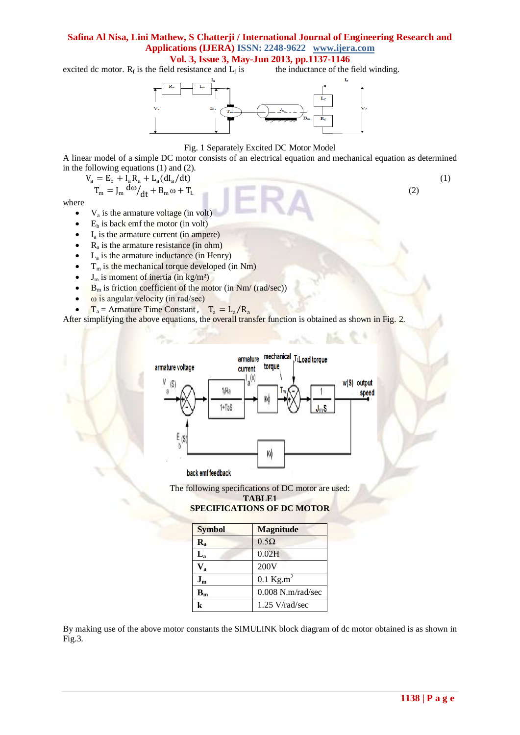excited dc motor.  $R_f$  is the field resistance and  $L_f$ the inductance of the field winding.



#### Fig. 1 Separately Excited DC Motor Model

A linear model of a simple DC motor consists of an electrical equation and mechanical equation as determined in the following equations (1) and (2).

$$
V_a = E_b + I_a R_a + L_a (dI_a/dt)
$$
  
\n
$$
T_m = J_m \frac{d\omega}{dt} + B_m \omega + T_L
$$
\n(1)

where

- $\bullet$   $V_a$  is the armature voltage (in volt)
- $E_b$  is back emf the motor (in volt)
- $I_a$  is the armature current (in ampere)
- $\bullet$  R<sub>a</sub> is the armature resistance (in ohm)
- $\bullet$  L<sub>a</sub> is the armature inductance (in Henry)
- $\bullet$  T<sub>m</sub> is the mechanical torque developed (in Nm)
- $\bullet$  J<sub>m</sub> is moment of inertia (in kg/m<sup>2</sup>)
- $B_m$  is friction coefficient of the motor (in Nm/ (rad/sec))
- ω is angular velocity (in rad/sec)
- $T_a = \text{Armature Time Constant}$ ,  $T_a = L_a/R_a$

After simplifying the above equations, the overall transfer function is obtained as shown in Fig. 2.



The following specifications of DC motor are used:



**SPECIFICATIONS OF DC MOTOR**

| <b>Symbol</b>             | <b>Magnitude</b>     |
|---------------------------|----------------------|
| $\mathbf{R}_{\mathbf{a}}$ | $0.5\Omega$          |
| $L_{\rm a}$               | 0.02H                |
| $\mathbf{V}_{\mathbf{a}}$ | 200V                 |
| $J_{m}$                   | $0.1 \text{ kg.m}^2$ |
| $\mathbf{B}_{\mathbf{m}}$ | $0.008$ N.m/rad/sec  |
| k                         | $1.25$ V/rad/sec     |

By making use of the above motor constants the SIMULINK block diagram of dc motor obtained is as shown in Fig.3.

(2)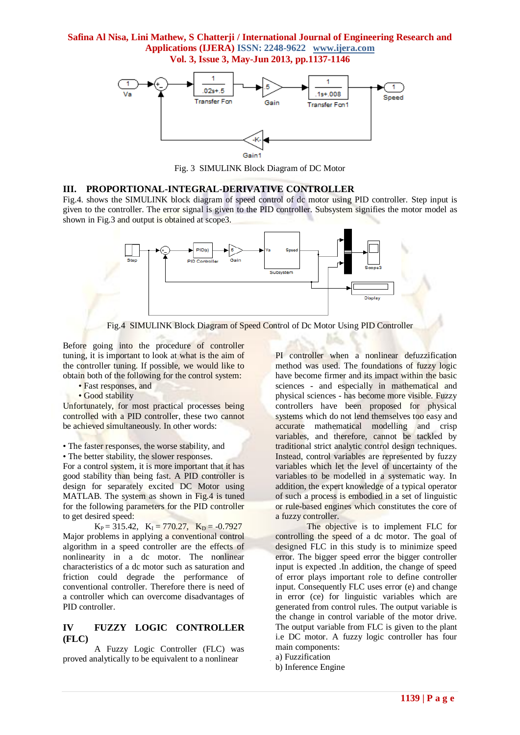

Fig. 3 SIMULINK Block Diagram of DC Motor

#### **III. PROPORTIONAL-INTEGRAL-DERIVATIVE CONTROLLER**

Fig.4. shows the SIMULINK block diagram of speed control of dc motor using PID controller. Step input is given to the controller. The error signal is given to the PID controller. Subsystem signifies the motor model as shown in Fig.3 and output is obtained at scope3.





Before going into the procedure of controller tuning, it is important to look at what is the aim of the controller tuning. If possible, we would like to obtain both of the following for the control system:

- Fast responses, and
- Good stability

Unfortunately, for most practical processes being controlled with a PID controller, these two cannot be achieved simultaneously. In other words:

• The faster responses, the worse stability, and

• The better stability, the slower responses.

For a control system, it is more important that it has good stability than being fast. A PID controller is design for separately excited DC Motor using MATLAB. The system as shown in Fig.4 is tuned for the following parameters for the PID controller to get desired speed:

 $K_P = 315.42$ ,  $K_I = 770.27$ ,  $K_D = -0.7927$ Major problems in applying a conventional control algorithm in a speed controller are the effects of nonlinearity in a dc motor. The nonlinear characteristics of a dc motor such as saturation and friction could degrade the performance of conventional controller. Therefore there is need of a controller which can overcome disadvantages of PID controller.

### **IV FUZZY LOGIC CONTROLLER (FLC)**

A Fuzzy Logic Controller (FLC) was proved analytically to be equivalent to a nonlinear

PI controller when a nonlinear defuzzification method was used. The foundations of fuzzy logic have become firmer and its impact within the basic sciences - and especially in mathematical and physical sciences - has become more visible. Fuzzy controllers have been proposed for physical systems which do not lend themselves too easy and accurate mathematical modelling and crisp variables, and therefore, cannot be tackled by traditional strict analytic control design techniques. Instead, control variables are represented by fuzzy variables which let the level of uncertainty of the variables to be modelled in a systematic way. In addition, the expert knowledge of a typical operator of such a process is embodied in a set of linguistic or rule-based engines which constitutes the core of a fuzzy controller.

The objective is to implement FLC for controlling the speed of a dc motor. The goal of designed FLC in this study is to minimize speed error. The bigger speed error the bigger controller input is expected .In addition, the change of speed of error plays important role to define controller input. Consequently FLC uses error (e) and change in error (ce) for linguistic variables which are generated from control rules. The output variable is the change in control variable of the motor drive. The output variable from FLC is given to the plant i.e DC motor. A fuzzy logic controller has four main components:

a) Fuzzification

b) Inference Engine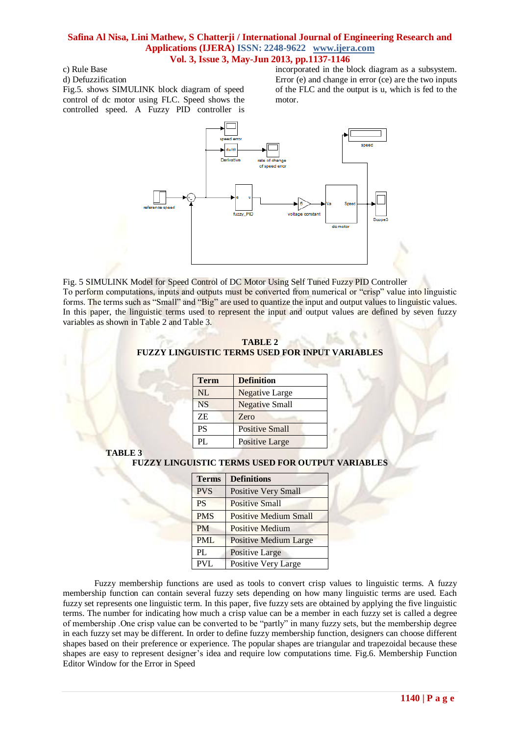c) Rule Base

d) Defuzzification

Fig.5. shows SIMULINK block diagram of speed control of dc motor using FLC. Speed shows the controlled speed. A Fuzzy PID controller is incorporated in the block diagram as a subsystem. Error (e) and change in error (ce) are the two inputs of the FLC and the output is u, which is fed to the motor.

a.

 $\sim$ 



Fig. 5 SIMULINK Model for Speed Control of DC Motor Using Self Tuned Fuzzy PID Controller To perform computations, inputs and outputs must be converted from numerical or "crisp" value into linguistic forms. The terms such as "Small" and "Big" are used to quantize the input and output values to linguistic values. In this paper, the linguistic terms used to represent the input and output values are defined by seven fuzzy variables as shown in Table 2 and Table 3.

| TABLE 2                                                |  |  |  |  |  |
|--------------------------------------------------------|--|--|--|--|--|
| <b>FUZZY LINGUISTIC TERMS USED FOR INPUT VARIABLES</b> |  |  |  |  |  |

| <b>Term</b> | <b>Definition</b>     |
|-------------|-----------------------|
| <b>NL</b>   | <b>Negative Large</b> |
| <b>NS</b>   | <b>Negative Small</b> |
| ΖE          | Zero                  |
| PS          | <b>Positive Small</b> |
| PI.         | <b>Positive Large</b> |

**TABLE 3**

### **FUZZY LINGUISTIC TERMS USED FOR OUTPUT VARIABLES**

| <b>Terms</b> | <b>Definitions</b>           |
|--------------|------------------------------|
| <b>PVS</b>   | <b>Positive Very Small</b>   |
| <b>PS</b>    | <b>Positive Small</b>        |
| <b>PMS</b>   | <b>Positive Medium Small</b> |
| <b>PM</b>    | <b>Positive Medium</b>       |
| <b>PML</b>   | <b>Positive Medium Large</b> |
| PL           | <b>Positive Large</b>        |
| PVL          | Positive Very Large          |

Fuzzy membership functions are used as tools to convert crisp values to linguistic terms. A fuzzy membership function can contain several fuzzy sets depending on how many linguistic terms are used. Each fuzzy set represents one linguistic term. In this paper, five fuzzy sets are obtained by applying the five linguistic terms. The number for indicating how much a crisp value can be a member in each fuzzy set is called a degree of membership .One crisp value can be converted to be "partly" in many fuzzy sets, but the membership degree in each fuzzy set may be different. In order to define fuzzy membership function, designers can choose different shapes based on their preference or experience. The popular shapes are triangular and trapezoidal because these shapes are easy to represent designer's idea and require low computations time. Fig.6. Membership Function Editor Window for the Error in Speed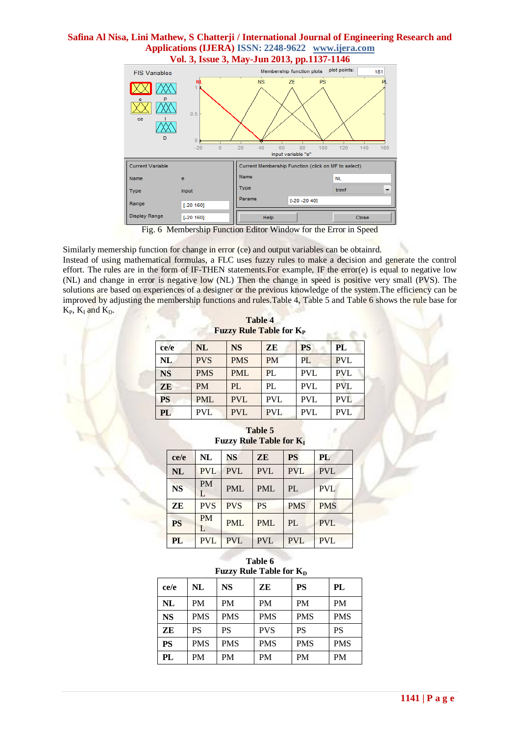# **Safina Al Nisa, Lini Mathew, S Chatterji / International Journal of Engineering Research and Applications (IJERA) ISSN: 2248-9622 www.ijera.com**



Fig. 6 Membership Function Editor Window for the Error in Speed

Similarly memership function for change in error (ce) and output variables can be obtainrd. Instead of using mathematical formulas, a FLC uses fuzzy rules to make a decision and generate the control effort. The rules are in the form of IF-THEN statements. For example, IF the error(e) is equal to negative low (NL) and change in error is negative low (NL) Then the change in speed is positive very small (PVS). The solutions are based on experiences of a designer or the previous knowledge of the system.The efficiency can be improved by adjusting the membership functions and rules.Table 4, Table 5 and Table 6 shows the rule base for  $K_P$ ,  $K_I$  and  $K_D$ .

**Table 4 Fuzzy Rule Table for K<sup>P</sup>**

| ce/e      | <b>NL</b>  | <b>NS</b>  | <b>ZE</b>  | <b>PS</b>  | PL         |
|-----------|------------|------------|------------|------------|------------|
| NL        | <b>PVS</b> | <b>PMS</b> | <b>PM</b>  | PL         | <b>PVL</b> |
| <b>NS</b> | <b>PMS</b> | <b>PML</b> | PL         | <b>PVL</b> | <b>PVL</b> |
| ZE        | <b>PM</b>  | PL         | PL         | <b>PVL</b> | <b>PVL</b> |
| PS        | <b>PML</b> | <b>PVL</b> | <b>PVL</b> | <b>PVL</b> | <b>PVL</b> |
| PL        | <b>PVL</b> | <b>PVL</b> | <b>PVL</b> | <b>PVL</b> | <b>PVL</b> |

### **Table 5 Fuzzy Rule Table for K<sup>I</sup>**

| ce/e      | NL             | <b>NS</b>  | <b>ZE</b>  | <b>PS</b>  | PL         |
|-----------|----------------|------------|------------|------------|------------|
| <b>NL</b> | <b>PVL</b>     | <b>PVL</b> | <b>PVL</b> | <b>PVL</b> | <b>PVL</b> |
| <b>NS</b> | <b>PM</b><br>L | <b>PML</b> | <b>PML</b> | PL         | <b>PVL</b> |
| ZE        | <b>PVS</b>     | <b>PVS</b> | <b>PS</b>  | <b>PMS</b> | <b>PMS</b> |
| <b>PS</b> | <b>PM</b><br>L | <b>PML</b> | <b>PML</b> | PL         | <b>PVL</b> |
| PL        | <b>PVL</b>     | <b>PVL</b> | <b>PVL</b> | <b>PVL</b> | <b>PVL</b> |

#### **Table 6 Fuzzy Rule Table for K<sub>D</sub>**

| T GELY INGHE THEIR TOT INT |            |            |            |            |            |
|----------------------------|------------|------------|------------|------------|------------|
| ce/e                       | NL         | <b>NS</b>  | ZЕ         | <b>PS</b>  | PL         |
| <b>NL</b>                  | <b>PM</b>  | <b>PM</b>  | <b>PM</b>  | <b>PM</b>  | <b>PM</b>  |
| <b>NS</b>                  | <b>PMS</b> | <b>PMS</b> | <b>PMS</b> | <b>PMS</b> | <b>PMS</b> |
| ZE                         | <b>PS</b>  | <b>PS</b>  | <b>PVS</b> | <b>PS</b>  | <b>PS</b>  |
| <b>PS</b>                  | <b>PMS</b> | <b>PMS</b> | <b>PMS</b> | <b>PMS</b> | <b>PMS</b> |
| PL                         | <b>PM</b>  | PM         | PM         | <b>PM</b>  | <b>PM</b>  |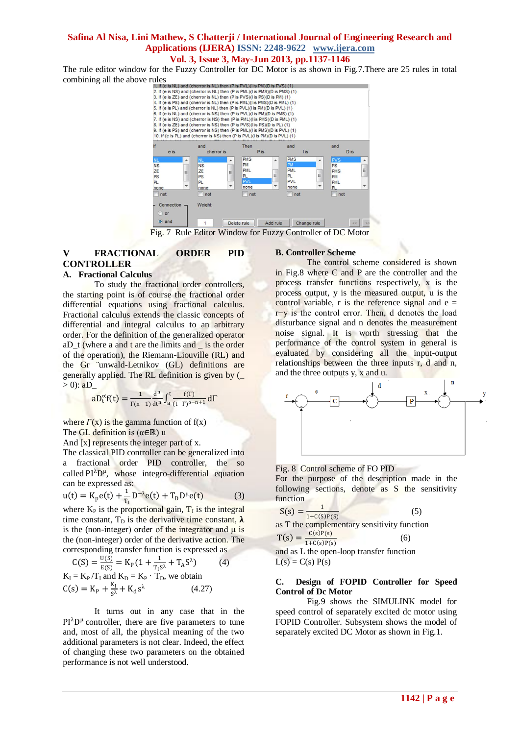The rule editor window for the Fuzzy Controller for DC Motor is as shown in Fig.7.There are 25 rules in total



Fig. 7 Rule Editor Window for Fuzzy Controller of DC Motor

## **V FRACTIONAL ORDER PID CONTROLLER**

#### **A. Fractional Calculus**

To study the fractional order controllers, the starting point is of course the fractional order differential equations using fractional calculus. Fractional calculus extends the classic concepts of differential and integral calculus to an arbitrary order. For the definition of the generalized operator  $aD_t$  (where a and t are the limits and  $\overline{\phantom{a}}$  is the order of the operation), the Riemann-Liouville (RL) and the Gr ¨unwald-Letnikov (GL) definitions are generally applied. The RL definition is given by (\_  $> 0$ :  $aD$ 

$$
aD_t^\alpha f(t)=\tfrac{1}{\Gamma(n-1)}\tfrac{d^n}{dt^n}\int_a^t\tfrac{f(\Gamma)}{(t-\Gamma)^{\alpha-n+1}}d\Gamma
$$

where  $\Gamma(x)$  is the gamma function of  $f(x)$ The GL definition is  $(\alpha \in \mathbb{R})$  u

And  $[x]$  represents the integer part of x.

The classical PID controller can be generalized into a fractional order PID controller, the so called  $PI^{\lambda}D^{\mu}$ , whose integro-differential equation can be expressed as:

$$
u(t) = K_p e(t) + \frac{1}{T_1} D^{-\lambda} e(t) + T_p D^{\mu} e(t)
$$
 (3)

where  $K_P$  is the proportional gain,  $T_I$  is the integral time constant,  $T_D$  is the derivative time constant,  $\lambda$ is the (non-integer) order of the integrator and  $\mu$  is the (non-integer) order of the derivative action. The corresponding transfer function is expressed as

$$
C(S) = \frac{U(S)}{E(S)} = K_{P}(1 + \frac{1}{T_{1}S^{\lambda}} + T_{A}S^{\lambda})
$$
(4)  
K<sub>I</sub> = K<sub>P</sub>/T<sub>I</sub> and K<sub>D</sub> = K<sub>P</sub> · T<sub>D</sub>, we obtain  
C(s) = K<sub>P</sub> +  $\frac{K_{I}}{S^{\lambda}}$  + K<sub>d</sub>s<sup>\lambda</sup> (4.27)

It turns out in any case that in the  $PI^{\lambda}D^{\mu}$  controller, there are five parameters to tune and, most of all, the physical meaning of the two additional parameters is not clear. Indeed, the effect of changing these two parameters on the obtained performance is not well understood.

#### **B. Controller Scheme**

The control scheme considered is shown in Fig.8 where C and P are the controller and the process transfer functions respectively, x is the process output, y is the measured output, u is the control variable, r is the reference signal and  $e =$ r−y is the control error. Then, d denotes the load disturbance signal and n denotes the measurement noise signal. It is worth stressing that the performance of the control system in general is evaluated by considering all the input-output relationships between the three inputs r, d and n, and the three outputs y, x and u.



#### Fig. 8 Control scheme of FO PID

 $S(s) = \frac{1}{1+SC(s)}$ 

For the purpose of the description made in the following sections, denote as S the sensitivity function

$$
\frac{1}{1+C(S)P(S)}\tag{5}
$$

as T the complementary sensitivity function 
$$
T(s) = \frac{C(s)P(s)}{}
$$

$$
T(s) = \frac{C(s)P(s)}{1+C(s)P(s)}
$$
(6)

and as L the open-loop transfer function  $L(s) = C(s) P(s)$ 

#### **C. Design of FOPID Controller for Speed Control of Dc Motor**

Fig.9 shows the SIMULINK model for speed control of separately excited dc motor using FOPID Controller. Subsystem shows the model of separately excited DC Motor as shown in Fig.1.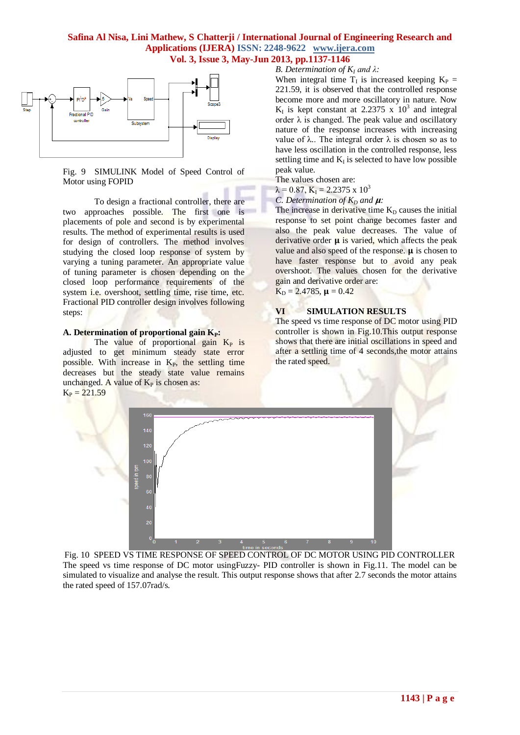

Fig. 9 SIMULINK Model of Speed Control of Motor using FOPID

To design a fractional controller, there are two approaches possible. The first one is placements of pole and second is by experimental results. The method of experimental results is used for design of controllers. The method involves studying the closed loop response of system by varying a tuning parameter. An appropriate value of tuning parameter is chosen depending on the closed loop performance requirements of the system *i.e.* overshoot, settling time, rise time, etc. Fractional PID controller design involves following steps:

#### A. Determination of proportional gain  $K_P$ :

The value of proportional gain  $K_P$  is adjusted to get minimum steady state error possible. With increase in  $K_{P}$ , the settling time decreases but the steady state value remains unchanged. A value of  $K_P$  is chosen as:  $K_P = 221.59$ 

#### *B. Determination of K<sup>I</sup> and λ:*

When integral time  $T_I$  is increased keeping  $K_P =$ 221.59, it is observed that the controlled response become more and more oscillatory in nature. Now  $K_I$  is kept constant at 2.2375 x  $10^3$  and integral order  $\lambda$  is changed. The peak value and oscillatory nature of the response increases with increasing value of  $λ$ .. The integral order  $λ$  is chosen so as to have less oscillation in the controlled response, less settling time and  $K_I$  is selected to have low possible peak value.

The values chosen are:

 $\lambda = 0.87$ ,  $K_I = 2.2375$  x  $10^3$ 

## *C. Determination of*  $K_p$  *and*  $\mu$ *:*

The increase in derivative time  $K_D$  causes the initial response to set point change becomes faster and also the peak value decreases. The value of derivative order  $\mu$  is varied, which affects the peak value and also speed of the response.  $\mu$  is chosen to have faster response but to avoid any peak overshoot. The values chosen for the derivative gain and derivative order are:

 $K_D = 2.4785$ ,  $\mu = 0.42$ 

## **VI SIMULATION RESULTS**

The speed vs time response of DC motor using PID controller is shown in Fig.10.This output response shows that there are initial oscillations in speed and after a settling time of 4 seconds,the motor attains the rated speed.



Fig. 10 SPEED VS TIME RESPONSE OF SPEED CONTROL OF DC MOTOR USING PID CONTROLLER The speed vs time response of DC motor usingFuzzy- PID controller is shown in Fig.11. The model can be simulated to visualize and analyse the result. This output response shows that after 2.7 seconds the motor attains the rated speed of 157.07rad/s.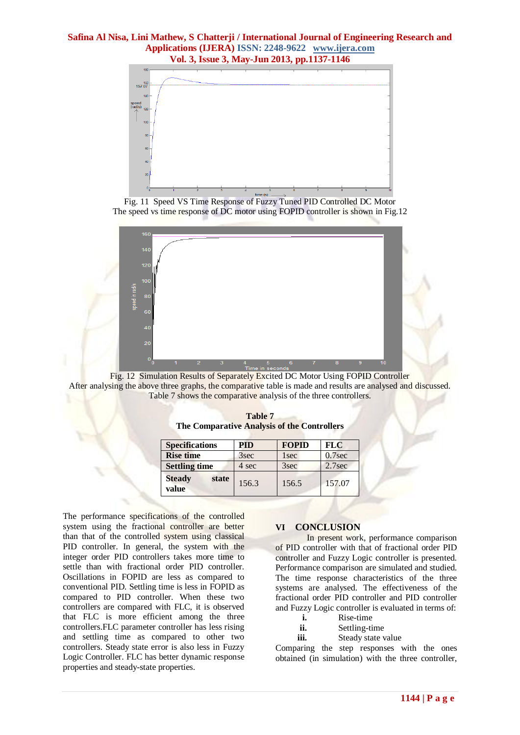

Fig. 11 Speed VS Time Response of Fuzzy Tuned PID Controlled DC Motor The speed vs time response of DC motor using FOPID controller is shown in Fig.12



Fig. 12 Simulation Results of Separately Excited DC Motor Using FOPID Controller After analysing the above three graphs, the comparative table is made and results are analysed and discussed. Table 7 shows the comparative analysis of the three controllers.

|                                             | Table 7 |  |
|---------------------------------------------|---------|--|
| The Comparative Analysis of the Controllers |         |  |

| <b>Specifications</b>           | PID   | <b>FOPID</b> | <b>FLC</b>         |
|---------------------------------|-------|--------------|--------------------|
| <b>Rise time</b>                | 3sec  | 1 sec        | $0.7$ sec          |
| <b>Settling time</b>            | 4 sec | 3sec         | 2.7 <sub>sec</sub> |
| <b>Steady</b><br>state<br>value | 156.3 | 156.5        | 157.07             |

The performance specifications of the controlled system using the fractional controller are better than that of the controlled system using classical PID controller. In general, the system with the integer order PID controllers takes more time to settle than with fractional order PID controller. Oscillations in FOPID are less as compared to conventional PID. Settling time is less in FOPID as compared to PID controller. When these two controllers are compared with FLC, it is observed that FLC is more efficient among the three controllers.FLC parameter controller has less rising and settling time as compared to other two controllers. Steady state error is also less in Fuzzy Logic Controller. FLC has better dynamic response properties and steady-state properties.

#### **VI CONCLUSION**

In present work, performance comparison of PID controller with that of fractional order PID controller and Fuzzy Logic controller is presented. Performance comparison are simulated and studied. The time response characteristics of the three systems are analysed. The effectiveness of the fractional order PID controller and PID controller and Fuzzy Logic controller is evaluated in terms of:

- **i.** Rise-time
- **ii.** Settling-time
- **iii.** Steady state value

Comparing the step responses with the ones obtained (in simulation) with the three controller,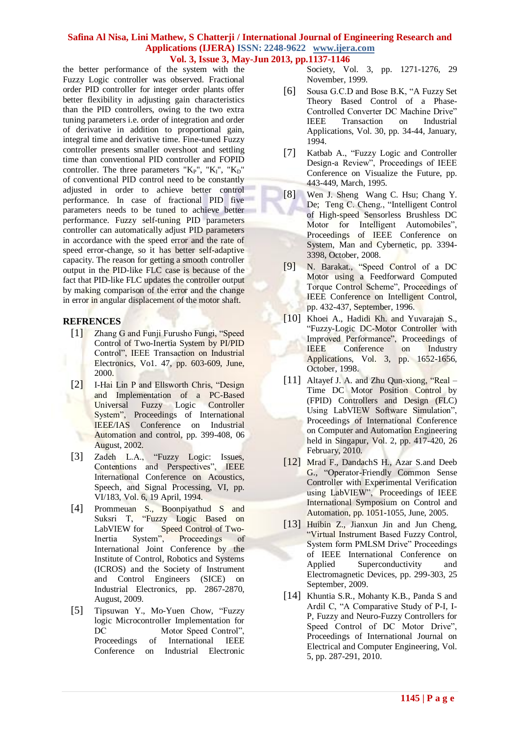# **Safina Al Nisa, Lini Mathew, S Chatterji / International Journal of Engineering Research and Applications (IJERA) ISSN: 2248-9622 www.ijera.com**

**Vol. 3, Issue 3, May-Jun 2013, pp.1137-1146**

the better performance of the system with the Fuzzy Logic controller was observed. Fractional order PID controller for integer order plants offer better flexibility in adjusting gain characteristics than the PID controllers, owing to the two extra tuning parameters i.e. order of integration and order of derivative in addition to proportional gain, integral time and derivative time. Fine-tuned Fuzzy controller presents smaller overshoot and settling time than conventional PID controller and FOPID controller. The three parameters " $K_P$ ", " $K_I$ ", " $K_D$ " of conventional PID control need to be constantly adjusted in order to achieve better control performance. In case of fractional PID five parameters needs to be tuned to achieve better performance. Fuzzy self-tuning PID parameters controller can automatically adjust PID parameters in accordance with the speed error and the rate of speed error-change, so it has better self-adaptive capacity. The reason for getting a smooth controller output in the PID-like FLC case is because of the fact that PID-like FLC updates the controller output by making comparison of the error and the change in error in angular displacement of the motor shaft.

## **REFRENCES**

- [1] Zhang G and Funji Furusho Fungi, "Speed Control of Two-Inertia System by PI/PID Control", IEEE Transaction on Industrial Electronics, Vo1. 47, pp. 603-609, June, 2000.
- [2] I-Hai Lin P and Ellsworth Chris, "Design and Implementation of a PC-Based Universal Fuzzy Logic Controller System", Proceedings of International IEEE/IAS Conference on Industrial Automation and control, pp. 399-408, 06 August, 2002.
- [3] Zadeh L.A., "Fuzzy Logic: Issues, Contentions and Perspectives", IEEE International Conference on Acoustics, Speech, and Signal Processing, VI, pp. VI/183, Vol. 6, 19 April, 1994.
- [4] Prommeuan S., Boonpiyathud S and Suksri T, "Fuzzy Logic Based on LabVIEW for Speed Control of Two-<br>Inertia System", Proceedings of Inertia System", Proceedings of International Joint Conference by the Institute of Control, Robotics and Systems (ICROS) and the Society of Instrument and Control Engineers (SICE) on Industrial Electronics, pp. 2867-2870, August, 2009.
- [5] [Tipsuwan](http://ieeexplore.ieee.org.proxy2.library.illinois.edu/search/searchresult.jsp?searchWithin=Authors:.QT.Tipsuwan,%20Y..QT.&newsearch=partialPref) Y., [Mo-Yuen Chow,](http://ieeexplore.ieee.org.proxy2.library.illinois.edu/search/searchresult.jsp?searchWithin=Authors:.QT.%20Mo-Yuen%20Chow.QT.&newsearch=partialPref) "Fuzzy logic Microcontroller Implementation for DC Motor Speed Control", Proceedings of International IEEE Conference on Industrial Electronic

Society, Vol. 3, pp. 1271-1276, 29 November, 1999.

- [6] Sousa G.C.D and Bose B.K, "A Fuzzy Set Theory Based Control of a Phase-Controlled Converter DC Machine Drive" IEEE Transaction on Industrial Applications, Vol. 30, pp. 34-44, January, 1994.
- [7] [Katbab A.,](http://ieeexplore.ieee.org.proxy2.library.illinois.edu/search/searchresult.jsp?searchWithin=Authors:.QT.Katbab,%20A..QT.&newsearch=partialPref) "Fuzzy Logic and Controller Design-a Review", Proceedings of IEEE Conference on Visualize the Future, pp. 443-449, March, 1995.
- [8] [Wen J](http://ieeexplore.ieee.org/search/searchresult.jsp?searchWithin=p_Authors:.QT.Jung-Sheng%20Wen.QT.&newsearch=partialPref). Sheng [Wang C. Hsu;](http://ieeexplore.ieee.org/search/searchresult.jsp?searchWithin=p_Authors:.QT.Chi-Hsu%20Wang.QT.&newsearch=partialPref) [Chang Y.](http://ieeexplore.ieee.org/search/searchresult.jsp?searchWithin=p_Authors:.QT.Ying-De%20Chang.QT.&newsearch=partialPref)  [De;](http://ieeexplore.ieee.org/search/searchresult.jsp?searchWithin=p_Authors:.QT.Ying-De%20Chang.QT.&newsearch=partialPref) [Teng C](http://ieeexplore.ieee.org/search/searchresult.jsp?searchWithin=p_Authors:.QT.Ching-Cheng%20Teng.QT.&newsearch=partialPref). Cheng., "Intelligent Control of High-speed Sensorless Brushless DC Motor for Intelligent Automobiles", Proceedings of IEEE Conference on System, Man and Cybernetic, pp. 3394- 3398, October, 2008.
- [9] N. Barakat., "Speed Control of a DC Motor using a Feedforward Computed Torque Control Scheme", Proceedings of IEEE Conference on Intelligent Control, pp. 432-437, September, 1996.
- [10] [Khoei A.,](http://ieeexplore.ieee.org.proxy2.library.illinois.edu/search/searchresult.jsp?searchWithin=Authors:.QT.Khoei,%20A..QT.&newsearch=partialPref) [Hadidi Kh.](http://ieeexplore.ieee.org.proxy2.library.illinois.edu/search/searchresult.jsp?searchWithin=Authors:.QT.%20Hadidi,%20Kh..QT.&newsearch=partialPref) and [Yuvarajan](http://ieeexplore.ieee.org.proxy2.library.illinois.edu/search/searchresult.jsp?searchWithin=Authors:.QT.%20Yuvarajan,%20S..QT.&newsearch=partialPref) S., "Fuzzy-Logic DC-Motor Controller with Improved Performance", Proceedings of IEEE Conference on Industry Applications, Vol. 3, pp. 1652-1656, October, 1998.
- [11] [Altayef J. A.](http://ieeexplore.ieee.org.proxy2.library.illinois.edu/search/searchresult.jsp?searchWithin=Authors:.QT.altayef,%20J.a..QT.&newsearch=partialPref) and [Zhu Qun-xiong,](http://ieeexplore.ieee.org.proxy2.library.illinois.edu/search/searchresult.jsp?searchWithin=Authors:.QT.%20Zhu%20Qun-xiong.QT.&newsearch=partialPref) "Real Time DC Motor Position Control by (FPID) Controllers and Design (FLC) Using LabVIEW Software Simulation", Proceedings of International Conference on Computer and Automation Engineering held in Singapur, Vol. 2, pp. 417-420, 26 February, 2010.
- [12] [Mrad F.,](http://ieeexplore.ieee.org.proxy2.library.illinois.edu/search/searchresult.jsp?searchWithin=Authors:.QT.Mrad,%20F..QT.&newsearch=partialPref) [DandachS H.,](http://ieeexplore.ieee.org.proxy2.library.illinois.edu/search/searchresult.jsp?searchWithin=Authors:.QT.%20Dandach,%20S.H..QT.&newsearch=partialPref) [Azar S.a](http://ieeexplore.ieee.org.proxy2.library.illinois.edu/search/searchresult.jsp?searchWithin=Authors:.QT.%20Azar,%20S..QT.&newsearch=partialPref)nd Deeb [G.,](http://ieeexplore.ieee.org.proxy2.library.illinois.edu/search/searchresult.jsp?searchWithin=Authors:.QT.%20Deeb,%20G..QT.&newsearch=partialPref) "Operator-Friendly Common Sense Controller with Experimental Verification using LabVIEW", Proceedings of IEEE International Symposium on Control and Automation, pp. 1051-1055, June, 2005.
- [13] Huibin Z., Jianxun Jin and Jun Cheng, "Virtual Instrument Based Fuzzy Control, System form PMLSM Drive" Proceedings of IEEE International Conference on Applied Superconductivity and Electromagnetic Devices, pp. 299-303, 25 September, 2009.
- [14] Khuntia S.R., Mohanty K.B., Panda S and Ardil C, "A Comparative Study of P-I, I-P, Fuzzy and Neuro-Fuzzy Controllers for Speed Control of DC Motor Drive", Proceedings of International Journal on Electrical and Computer Engineering, Vol. 5, pp. 287-291, 2010.